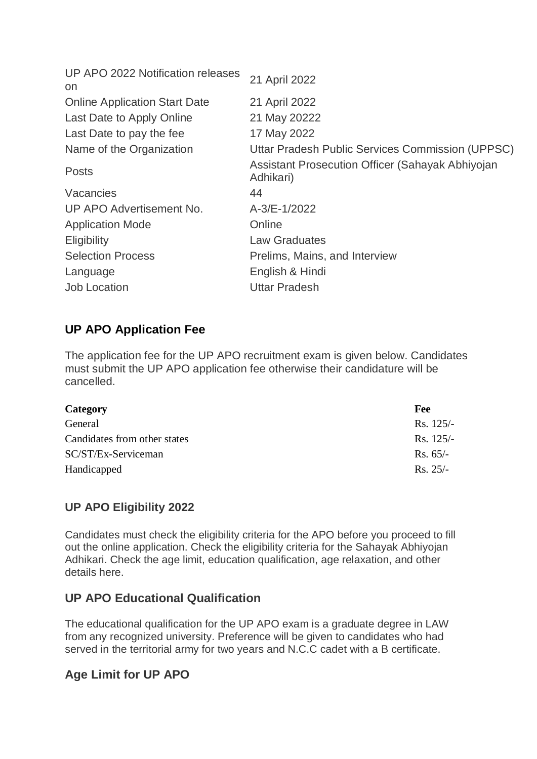| 21 April 2022                                                 |
|---------------------------------------------------------------|
| 21 April 2022                                                 |
| 21 May 20222                                                  |
| 17 May 2022                                                   |
| Uttar Pradesh Public Services Commission (UPPSC)              |
| Assistant Prosecution Officer (Sahayak Abhiyojan<br>Adhikari) |
| 44                                                            |
| A-3/E-1/2022                                                  |
| Online                                                        |
| <b>Law Graduates</b>                                          |
| Prelims, Mains, and Interview                                 |
| English & Hindi                                               |
| <b>Uttar Pradesh</b>                                          |
|                                                               |

## **UP APO Application Fee**

The application fee for the UP APO recruitment exam is given below. Candidates must submit the UP APO application fee otherwise their candidature will be cancelled.

| Fee         |
|-------------|
| $Rs. 125/-$ |
| $Rs. 125/-$ |
| $Rs. 65/-$  |
| $Rs. 25/-$  |
|             |

# **UP APO Eligibility 2022**

Candidates must check the eligibility criteria for the APO before you proceed to fill out the online application. Check the eligibility criteria for the Sahayak Abhiyojan Adhikari. Check the age limit, education qualification, age relaxation, and other details here.

## **UP APO Educational Qualification**

The educational qualification for the UP APO exam is a graduate degree in LAW from any recognized university. Preference will be given to candidates who had served in the territorial army for two years and N.C.C cadet with a B certificate.

# **Age Limit for UP APO**